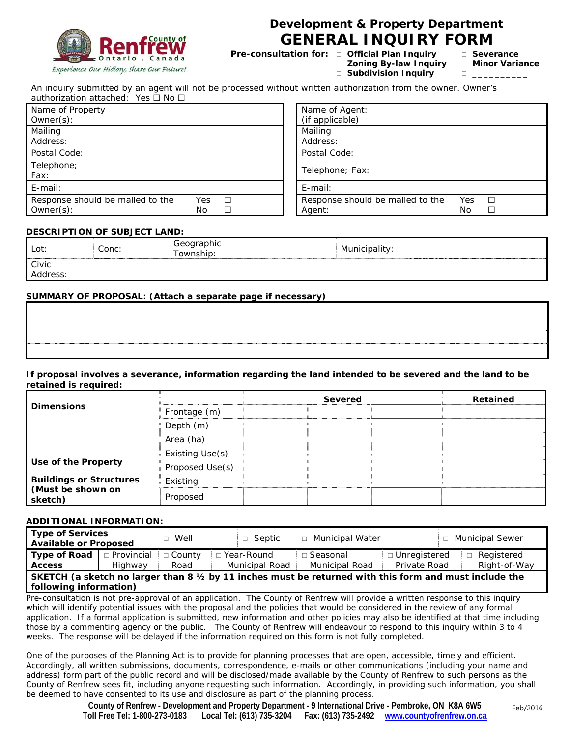

## **Development & Property Department GENERAL INQUIRY FORM**

**Pre-consultation for:**  $\Box$  **Official Plan Inquiry**  $\Box$  **Severance** 

- **Zoning By-law Inquiry Minor Variance** 
	-
	-

**Subdivision Inquiry \_\_\_\_\_\_\_\_\_\_**

An inquiry submitted by an agent will not be processed without written authorization from the owner. Owner's authorization attached: Yes  $\Box$  No  $\Box$ 

| Name of Property                        | Name of Agent:                          |
|-----------------------------------------|-----------------------------------------|
| Owner(s):                               | (if applicable)                         |
| Mailing                                 | Mailing                                 |
| Address:                                | Address:                                |
| Postal Code:                            | Postal Code:                            |
| Telephone;                              | Telephone; Fax:                         |
| Fax:                                    |                                         |
| E-mail:                                 | $E$ -mail:                              |
| Response should be mailed to the<br>Yes | Response should be mailed to the<br>Yes |
| Owner(s):<br>No                         | No.<br>Agent:                           |
|                                         |                                         |

### **DESCRIPTION OF SUBJECT LAND:**

| Civic | Lot:     | Conc: | Geographic<br>Fownship: | Municipality: |
|-------|----------|-------|-------------------------|---------------|
|       | Address: |       |                         |               |

### **SUMMARY OF PROPOSAL: (Attach a separate page if necessary)**

**If proposal involves a severance, information regarding the land intended to be severed and the land to be retained is required:** 

|                                |                 | <b>Severed</b> | Retained |
|--------------------------------|-----------------|----------------|----------|
| <b>Dimensions</b>              | Frontage (m)    |                |          |
|                                | Depth (m)       |                |          |
|                                | Area (ha)       |                |          |
|                                | Existing Use(s) |                |          |
| Use of the Property            | Proposed Use(s) |                |          |
| <b>Buildings or Structures</b> | Existing        |                |          |
| (Must be shown on<br>sketch)   | Proposed        |                |          |

### **ADDITIONAL INFORMATION:**

| Type of Services<br><b>Available or Proposed</b>                                                                                            |                         | $\Box$ Well           | $\Box$ Septic                         | □ Municipal Water            |                                | □ Municipal Sewer          |
|---------------------------------------------------------------------------------------------------------------------------------------------|-------------------------|-----------------------|---------------------------------------|------------------------------|--------------------------------|----------------------------|
| Type of Road<br><b>Access</b>                                                                                                               | □ Provincial<br>Highway | $\Box$ County<br>Road | □ Year-Round<br><b>Municipal Road</b> | □ Seasonal<br>Municipal Road | □ Unregistered<br>Private Road | Registered<br>Right-of-Way |
| SKETCH (a sketch no larger than 8 $\frac{1}{2}$ by 11 inches must be returned with this form and must include the<br>following information) |                         |                       |                                       |                              |                                |                            |

*Pre-consultation is not pre-approval of an application. The County of Renfrew will provide a written response to this inquiry*  which will identify potential issues with the proposal and the policies that would be considered in the review of any formal *application. If a formal application is submitted, new information and other policies may also be identified at that time including those by a commenting agency or the public. The County of Renfrew will endeavour to respond to this inquiry within 3 to 4*  weeks. The response will be delayed if the information required on this form is not fully completed.

*One of the purposes of the Planning Act is to provide for planning processes that are open, accessible, timely and efficient. Accordingly, all written submissions, documents, correspondence, e-mails or other communications (including your name and address) form part of the public record and will be disclosed/made available by the County of Renfrew to such persons as the County of Renfrew sees fit, including anyone requesting such information. Accordingly, in providing such information, you shall be deemed to have consented to its use and disclosure as part of the planning process.*

> **County of Renfrew - Development and Property Department - 9 International Drive - Pembroke, ON K8A 6W5 Toll Free Tel: 1-800-273-0183 Local Tel: (613) 735-3204 Fax: (613) 735-2492 www.countyofrenfrew.on.ca**